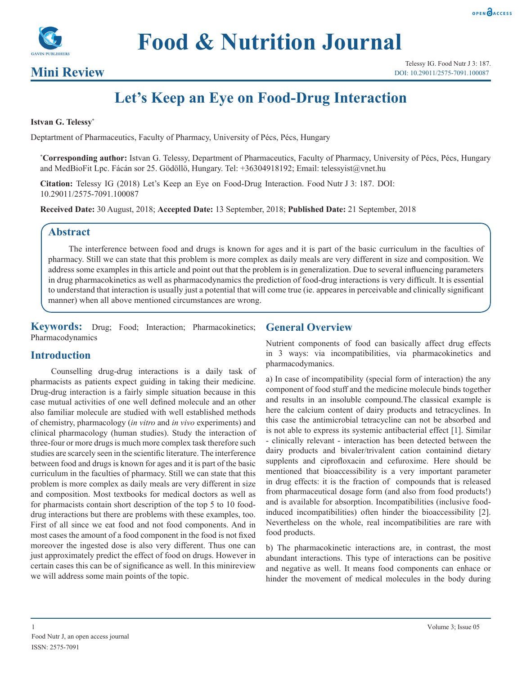



# **Food & Nutrition Journal**

### **Mini Review**

## **Let's Keep an Eye on Food-Drug Interaction**

#### **Istvan G. Telessy\***

Deptartment of Pharmaceutics, Faculty of Pharmacy, University of Pécs, Pécs, Hungary

**\* Corresponding author:** Istvan G. Telessy, Department of Pharmaceutics, Faculty of Pharmacy, University of Pécs, Pécs, Hungary and MedBioFit Lpc. Fácán sor 25. Gödöllö, Hungary. Tel: +36304918192; Email: telessyist@vnet.hu

**Citation:** Telessy IG (2018) Let's Keep an Eye on Food-Drug Interaction. Food Nutr J 3: 187. DOI: 10.29011/2575-7091.100087

**Received Date:** 30 August, 2018; **Accepted Date:** 13 September, 2018; **Published Date:** 21 September, 2018

#### **Abstract**

The interference between food and drugs is known for ages and it is part of the basic curriculum in the faculties of pharmacy. Still we can state that this problem is more complex as daily meals are very different in size and composition. We address some examples in this article and point out that the problem is in generalization. Due to several influencing parameters in drug pharmacokinetics as well as pharmacodynamics the prediction of food-drug interactions is very difficult. It is essential to understand that interaction is usually just a potential that will come true (ie. appeares in perceivable and clinically significant manner) when all above mentioned circumstances are wrong.

**Keywords:** Drug; Food; Interaction; Pharmacokinetics; Pharmacodynamics

#### **General Overview**

#### **Introduction**

Counselling drug-drug interactions is a daily task of pharmacists as patients expect guiding in taking their medicine. Drug-drug interaction is a fairly simple situation because in this case mutual activities of one well defined molecule and an other also familiar molecule are studied with well established methods of chemistry, pharmacology (*in vitro* and *in vivo* experiments) and clinical pharmacology (human studies). Study the interaction of three-four or more drugs is much more complex task therefore such studies are scarcely seen in the scientific literature. The interference between food and drugs is known for ages and it is part of the basic curriculum in the faculties of pharmacy. Still we can state that this problem is more complex as daily meals are very different in size and composition. Most textbooks for medical doctors as well as for pharmacists contain short description of the top 5 to 10 fooddrug interactions but there are problems with these examples, too. First of all since we eat food and not food components. And in most cases the amount of a food component in the food is not fixed moreover the ingested dose is also very different. Thus one can just approximately predict the effect of food on drugs. However in certain cases this can be of significance as well. In this minireview we will address some main points of the topic.

Nutrient components of food can basically affect drug effects in 3 ways: via incompatibilities, via pharmacokinetics and pharmacodymanics.

a) In case of incompatibility (special form of interaction) the any component of food stuff and the medicine molecule binds together and results in an insoluble compound.The classical example is here the calcium content of dairy products and tetracyclines. In this case the antimicrobial tetracycline can not be absorbed and is not able to express its systemic antibacterial effect [1]. Similar - clinically relevant - interaction has been detected between the dairy products and bivaler/trivalent cation containind dietary supplents and ciprofloxacin and cefuroxime. Here should be mentioned that bioaccessibility is a very important parameter in drug effects: it is the fraction of compounds that is released from pharmaceutical dosage form (and also from food products!) and is available for absorption. Incompatibilities (inclusive foodinduced incompatibilities) often hinder the bioaccessibility [2]. Nevertheless on the whole, real incompatibilities are rare with food products.

b) The pharmacokinetic interactions are, in contrast, the most abundant interactions. This type of interactions can be positive and negative as well. It means food components can enhace or hinder the movement of medical molecules in the body during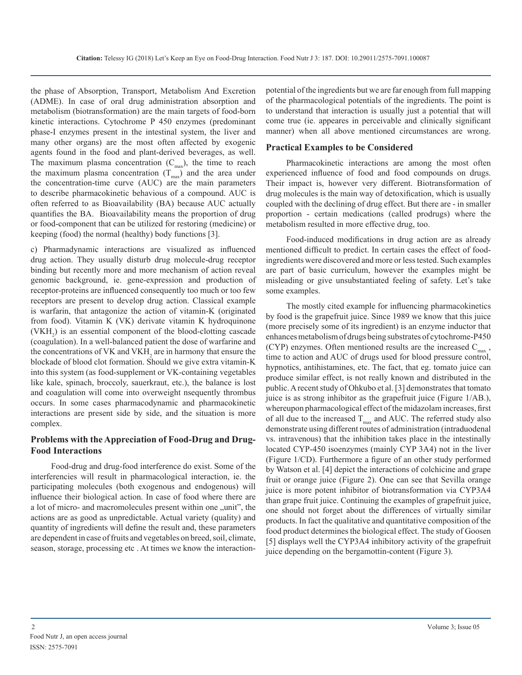the phase of Absorption, Transport, Metabolism And Excretion (ADME). In case of oral drug administration absorption and metabolism (biotransformation) are the main targets of food-born kinetic interactions. Cytochrome P 450 enzymes (predominant phase-I enzymes present in the intestinal system, the liver and many other organs) are the most often affected by exogenic agents found in the food and plant-derived beverages, as well. The maximum plasma concentration  $(C_{\text{max}})$ , the time to reach the maximum plasma concentration  $(T_{\text{max}})$  and the area under the concentration-time curve (AUC) are the main parameters to describe pharmacokinetic behavious of a compound. AUC is often referred to as Bioavailability (BA) because AUC actually quantifies the BA. Bioavailability means the proportion of drug or food-component that can be utilized for restoring (medicine) or keeping (food) the normal (healthy) body functions [3].

c) Pharmadynamic interactions are visualized as influenced drug action. They usually disturb drug molecule-drug receptor binding but recently more and more mechanism of action reveal genomic background, ie. gene-expression and production of receptor-proteins are influenced consequently too much or too few receptors are present to develop drug action. Classical example is warfarin, that antagonize the action of vitamin-K (originated from food). Vitamin K (VK) derivate vitamin K hydroquinone  $(VKH<sub>2</sub>)$  is an essential component of the blood-clotting cascade (coagulation). In a well-balanced patient the dose of warfarine and the concentrations of  $VK$  and  $VKH_2$  are in harmony that ensure the blockade of blood clot formation. Should we give extra vitamin-K into this system (as food-supplement or VK-containing vegetables like kale, spinach, broccoly, sauerkraut, etc.), the balance is lost and coagulation will come into overweight nsequently thrombus occurs. In some cases pharmacodynamic and pharmacokinetic interactions are present side by side, and the situation is more complex.

#### **Problems with the Appreciation of Food-Drug and Drug-Food Interactions**

Food-drug and drug-food interference do exist. Some of the interferencies will result in pharmacological interaction, ie. the participating molecules (both exogenous and endogenous) will influence their biological action. In case of food where there are a lot of micro- and macromolecules present within one  $\mu$ unit", the actions are as good as unpredictable. Actual variety (quality) and quantity of ingredients will define the result and, these parameters are dependent in case of fruits and vegetables on breed, soil, climate, season, storage, processing etc . At times we know the interactionpotential of the ingredients but we are far enough from full mapping of the pharmacological potentials of the ingredients. The point is to understand that interaction is usually just a potential that will come true (ie. appeares in perceivable and clinically significant manner) when all above mentioned circumstances are wrong.

#### **Practical Examples to be Considered**

Pharmacokinetic interactions are among the most often experienced influence of food and food compounds on drugs. Their impact is, however very different. Biotransformation of drug molecules is the main way of detoxification, which is usually coupled with the declining of drug effect. But there are - in smaller proportion - certain medications (called prodrugs) where the metabolism resulted in more effective drug, too.

Food-induced modifications in drug action are as already mentioned difficult to predict. In certain cases the effect of foodingredients were discovered and more or less tested. Such examples are part of basic curriculum, however the examples might be misleading or give unsubstantiated feeling of safety. Let's take some examples.

The mostly cited example for influencing pharmacokinetics by food is the grapefruit juice. Since 1989 we know that this juice (more precisely some of its ingredient) is an enzyme inductor that enhances metabolism of drugs being substrates of cytochrome-P450 (CYP) enzymes. Often mentioned results are the increased  $C_{\text{max}}$ , time to action and AUC of drugs used for blood pressure control, hypnotics, antihistamines, etc. The fact, that eg. tomato juice can produce similar effect, is not really known and distributed in the public. A recent study of Ohkubo et al. [3] demonstrates that tomato juice is as strong inhibitor as the grapefruit juice (Figure 1/AB.), whereupon pharmacological effect of the midazolam increases, first of all due to the increased  $T_{\text{max}}$  and AUC. The referred study also demonstrate using different routes of administration (intraduodenal vs. intravenous) that the inhibition takes place in the intestinally located CYP-450 isoenzymes (mainly CYP 3A4) not in the liver (Figure 1/CD). Furthermore a figure of an other study performed by Watson et al. [4] depict the interactions of colchicine and grape fruit or orange juice (Figure 2). One can see that Sevilla orange juice is more potent inhibitor of biotransformation via CYP3A4 than grape fruit juice. Continuing the examples of grapefruit juice, one should not forget about the differences of virtually similar products. In fact the qualitative and quantitative composition of the food product determines the biological effect. The study of Goosen [5] displays well the CYP3A4 inhibitory activity of the grapefruit juice depending on the bergamottin-content (Figure 3).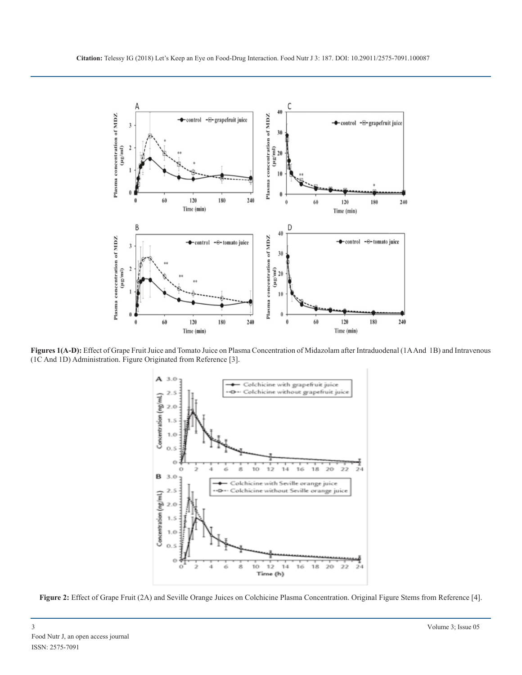

**Figures 1(A-D):** Effect of Grape Fruit Juice and Tomato Juice on Plasma Concentration of Midazolam after Intraduodenal (1A And 1B) and Intravenous (1C And 1D) Administration. Figure Originated from Reference [3].



**Figure 2:** Effect of Grape Fruit (2A) and Seville Orange Juices on Colchicine Plasma Concentration. Original Figure Stems from Reference [4].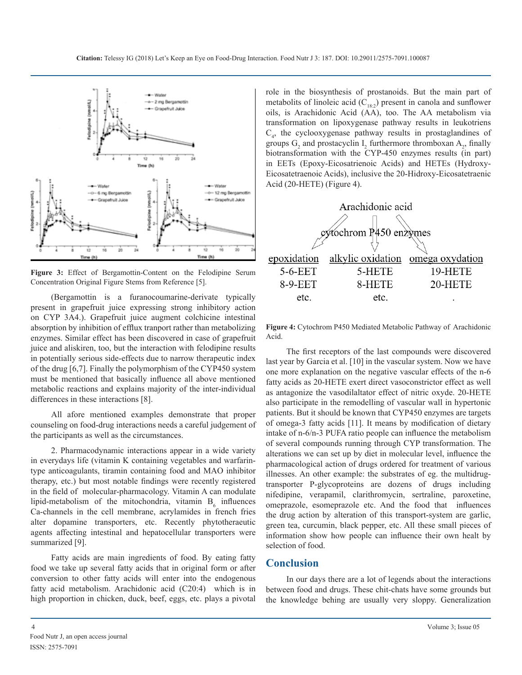

**Figure 3:** Effect of Bergamottin-Content on the Felodipine Serum Concentration Original Figure Stems from Reference [5].

(Bergamottin is a furanocoumarine-derivate typically present in grapefruit juice expressing strong inhibitory action on CYP 3A4.). Grapefruit juice augment colchicine intestinal absorption by inhibition of efflux tranport rather than metabolizing enzymes. Similar effect has been discovered in case of grapefruit juice and aliskiren, too, but the interaction with felodipine results in potentially serious side-effects due to narrow therapeutic index of the drug [6,7]. Finally the polymorphism of the CYP450 system must be mentioned that basically influence all above mentioned metabolic reactions and explains majority of the inter-individual differences in these interactions [8].

All afore mentioned examples demonstrate that proper counseling on food-drug interactions needs a careful judgement of the participants as well as the circumstances.

2. Pharmacodynamic interactions appear in a wide variety in everydays life (vitamin K containing vegetables and warfarintype anticoagulants, tiramin containing food and MAO inhibitor therapy, etc.) but most notable findings were recently registered in the field of molecular-pharmacology. Vitamin A can modulate lipid-metabolism of the mitochondria, vitamin  $B_6$  influences Ca-channels in the cell membrane, acrylamides in french fries alter dopamine transporters, etc. Recently phytotheraeutic agents affecting intestinal and hepatocellular transporters were summarized [9].

Fatty acids are main ingredients of food. By eating fatty food we take up several fatty acids that in original form or after conversion to other fatty acids will enter into the endogenous fatty acid metabolism. Arachidonic acid (C20:4) which is in high proportion in chicken, duck, beef, eggs, etc. plays a pivotal role in the biosynthesis of prostanoids. But the main part of metabolits of linoleic acid  $(C_{18:2})$  present in canola and sunflower oils, is Arachidonic Acid (AA), too. The AA metabolism via transformation on lipoxygenase pathway results in leukotriens C4 , the cyclooxygenase pathway results in prostaglandines of groups  $G_2$  and prostacyclin  $I_2$  furthermore thromboxan  $A_2$ , finally biotransformation with the CYP-450 enzymes results (in part) in EETs (Epoxy-Eicosatrienoic Acids) and HETEs (Hydroxy-Eicosatetraenoic Acids), inclusive the 20-Hidroxy-Eicosatetraenic Acid (20-HETE) (Figure 4).



**Figure 4:** Cytochrom P450 Mediated Metabolic Pathway of Arachidonic Acid.

The first receptors of the last compounds were discovered last year by Garcia et al. [10] in the vascular system. Now we have one more explanation on the negative vascular effects of the n-6 fatty acids as 20-HETE exert direct vasoconstrictor effect as well as antagonize the vasodilaltator effect of nitric oxyde. 20-HETE also participate in the remodelling of vascular wall in hypertonic patients. But it should be known that CYP450 enzymes are targets of omega-3 fatty acids [11]. It means by modification of dietary intake of n-6/n-3 PUFA ratio people can influence the metabolism of several compounds running through CYP transformation. The alterations we can set up by diet in molecular level, influence the pharmacological action of drugs ordered for treatment of various illnesses. An other example: the substrates of eg. the multidrugtransporter P-glycoproteins are dozens of drugs including nifedipine, verapamil, clarithromycin, sertraline, paroxetine, omeprazole, esomeprazole etc. And the food that influences the drug action by alteration of this transport-system are garlic, green tea, curcumin, black pepper, etc. All these small pieces of information show how people can influence their own healt by selection of food.

#### **Conclusion**

In our days there are a lot of legends about the interactions between food and drugs. These chit-chats have some grounds but the knowledge behing are usually very sloppy. Generalization